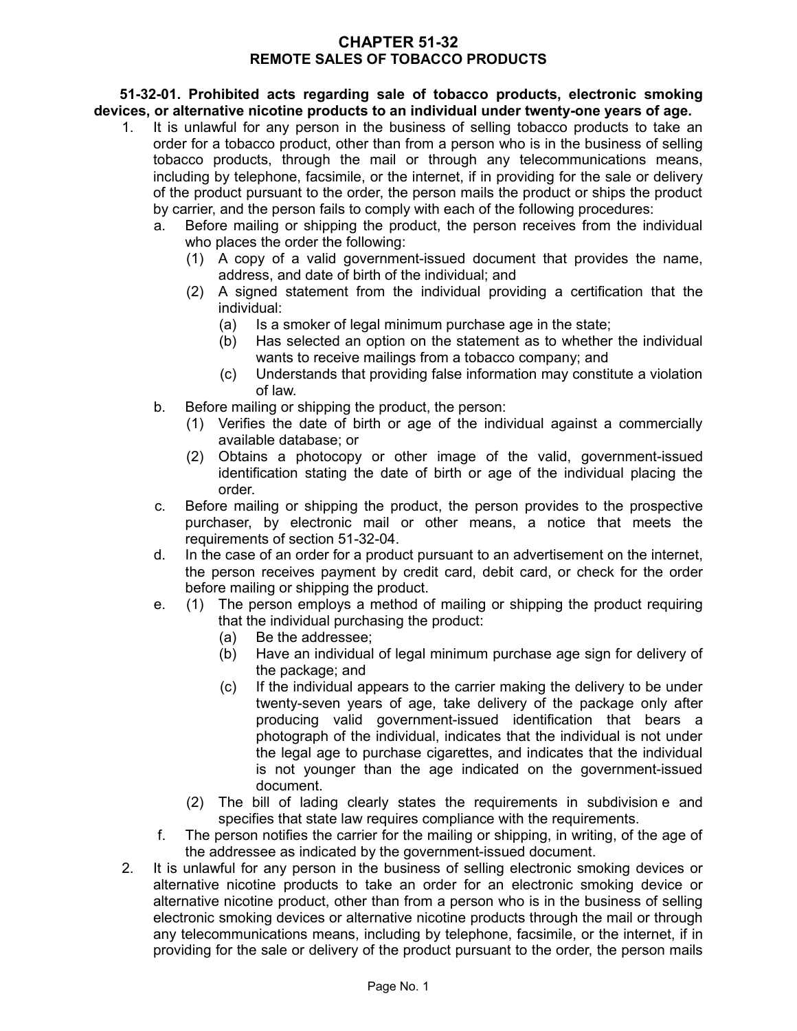### **CHAPTER 51-32 REMOTE SALES OF TOBACCO PRODUCTS**

**51-32-01. Prohibited acts regarding sale of tobacco products, electronic smoking devices, or alternative nicotine products to an individual under twenty-one years of age.**

- 1. It is unlawful for any person in the business of selling tobacco products to take an order for a tobacco product, other than from a person who is in the business of selling tobacco products, through the mail or through any telecommunications means, including by telephone, facsimile, or the internet, if in providing for the sale or delivery of the product pursuant to the order, the person mails the product or ships the product by carrier, and the person fails to comply with each of the following procedures:
	- a. Before mailing or shipping the product, the person receives from the individual who places the order the following:
		- (1) A copy of a valid government-issued document that provides the name, address, and date of birth of the individual; and
		- (2) A signed statement from the individual providing a certification that the individual:
			- (a) Is a smoker of legal minimum purchase age in the state;
			- (b) Has selected an option on the statement as to whether the individual wants to receive mailings from a tobacco company; and
			- (c) Understands that providing false information may constitute a violation of law.
	- b. Before mailing or shipping the product, the person:
		- (1) Verifies the date of birth or age of the individual against a commercially available database; or
		- (2) Obtains a photocopy or other image of the valid, government-issued identification stating the date of birth or age of the individual placing the order.
	- c. Before mailing or shipping the product, the person provides to the prospective purchaser, by electronic mail or other means, a notice that meets the requirements of section 51-32-04.
	- d. In the case of an order for a product pursuant to an advertisement on the internet, the person receives payment by credit card, debit card, or check for the order before mailing or shipping the product.
	- e. (1) The person employs a method of mailing or shipping the product requiring that the individual purchasing the product:
		- (a) Be the addressee;
		- (b) Have an individual of legal minimum purchase age sign for delivery of the package; and
		- (c) If the individual appears to the carrier making the delivery to be under twenty-seven years of age, take delivery of the package only after producing valid government-issued identification that bears a photograph of the individual, indicates that the individual is not under the legal age to purchase cigarettes, and indicates that the individual is not younger than the age indicated on the government-issued document.
		- (2) The bill of lading clearly states the requirements in subdivision e and specifies that state law requires compliance with the requirements.
	- f. The person notifies the carrier for the mailing or shipping, in writing, of the age of the addressee as indicated by the government-issued document.
- 2. It is unlawful for any person in the business of selling electronic smoking devices or alternative nicotine products to take an order for an electronic smoking device or alternative nicotine product, other than from a person who is in the business of selling electronic smoking devices or alternative nicotine products through the mail or through any telecommunications means, including by telephone, facsimile, or the internet, if in providing for the sale or delivery of the product pursuant to the order, the person mails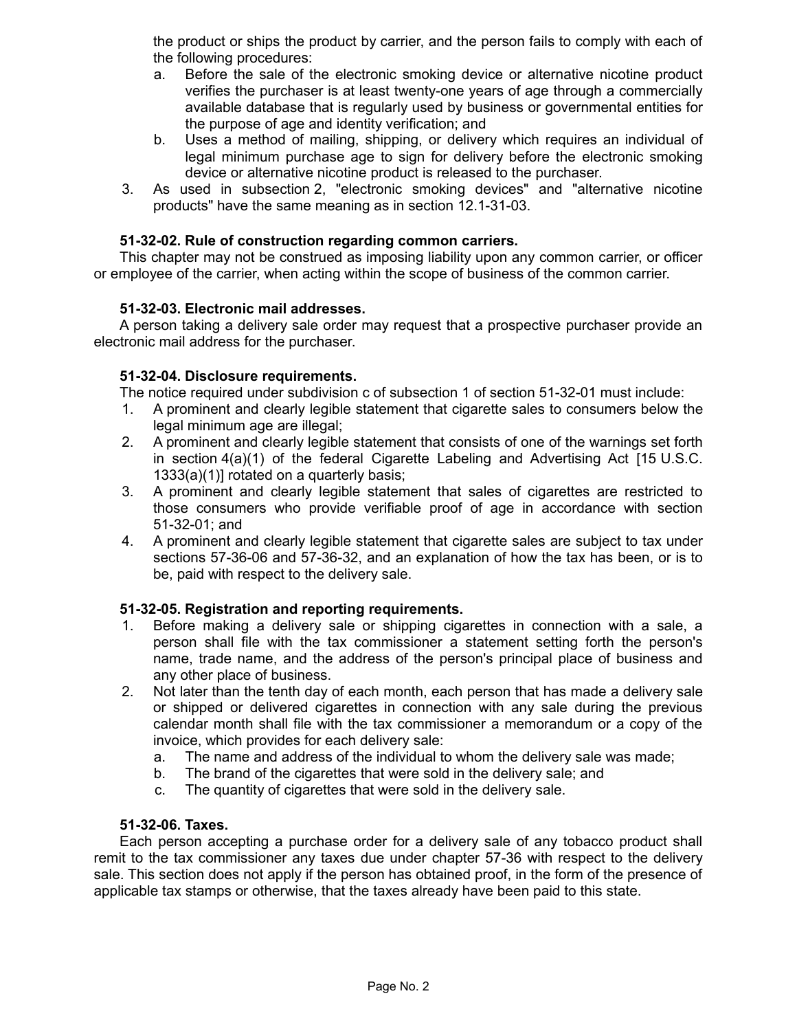the product or ships the product by carrier, and the person fails to comply with each of the following procedures:

- a. Before the sale of the electronic smoking device or alternative nicotine product verifies the purchaser is at least twenty-one years of age through a commercially available database that is regularly used by business or governmental entities for the purpose of age and identity verification; and
- b. Uses a method of mailing, shipping, or delivery which requires an individual of legal minimum purchase age to sign for delivery before the electronic smoking device or alternative nicotine product is released to the purchaser.
- 3. As used in subsection 2, "electronic smoking devices" and "alternative nicotine products" have the same meaning as in section 12.1-31-03.

# **51-32-02. Rule of construction regarding common carriers.**

This chapter may not be construed as imposing liability upon any common carrier, or officer or employee of the carrier, when acting within the scope of business of the common carrier.

## **51-32-03. Electronic mail addresses.**

A person taking a delivery sale order may request that a prospective purchaser provide an electronic mail address for the purchaser.

### **51-32-04. Disclosure requirements.**

The notice required under subdivision c of subsection 1 of section 51-32-01 must include:

- 1. A prominent and clearly legible statement that cigarette sales to consumers below the legal minimum age are illegal;
- 2. A prominent and clearly legible statement that consists of one of the warnings set forth in section 4(a)(1) of the federal Cigarette Labeling and Advertising Act [15 U.S.C. 1333(a)(1)] rotated on a quarterly basis;
- 3. A prominent and clearly legible statement that sales of cigarettes are restricted to those consumers who provide verifiable proof of age in accordance with section 51-32-01; and
- 4. A prominent and clearly legible statement that cigarette sales are subject to tax under sections 57-36-06 and 57-36-32, and an explanation of how the tax has been, or is to be, paid with respect to the delivery sale.

## **51-32-05. Registration and reporting requirements.**

- 1. Before making a delivery sale or shipping cigarettes in connection with a sale, a person shall file with the tax commissioner a statement setting forth the person's name, trade name, and the address of the person's principal place of business and any other place of business.
- 2. Not later than the tenth day of each month, each person that has made a delivery sale or shipped or delivered cigarettes in connection with any sale during the previous calendar month shall file with the tax commissioner a memorandum or a copy of the invoice, which provides for each delivery sale:
	- a. The name and address of the individual to whom the delivery sale was made;
	- b. The brand of the cigarettes that were sold in the delivery sale; and
	- c. The quantity of cigarettes that were sold in the delivery sale.

#### **51-32-06. Taxes.**

Each person accepting a purchase order for a delivery sale of any tobacco product shall remit to the tax commissioner any taxes due under chapter 57-36 with respect to the delivery sale. This section does not apply if the person has obtained proof, in the form of the presence of applicable tax stamps or otherwise, that the taxes already have been paid to this state.